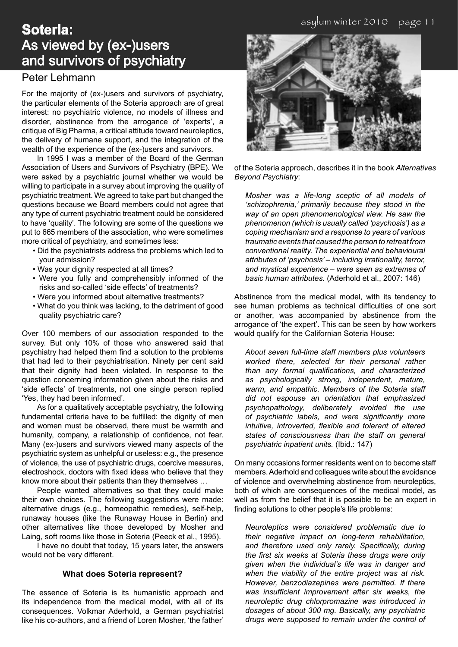# **Soteria:** As viewed by (ex-)users and survivors of psychiatry

### Peter Lehmann

For the majority of (ex-)users and survivors of psychiatry, the particular elements of the Soteria approach are of great interest: no psychiatric violence, no models of illness and disorder, abstinence from the arrogance of 'experts', a critique of Big Pharma, a critical attitude toward neuroleptics, the delivery of humane support, and the integration of the wealth of the experience of the (ex-)users and survivors.

In 1995 I was a member of the Board of the German Association of Users and Survivors of Psychiatry (BPE). We were asked by a psychiatric journal whether we would be willing to participate in a survey about improving the quality of psychiatric treatment. We agreed to take part but changed the questions because we Board members could not agree that any type of current psychiatric treatment could be considered to have 'quality'. The following are some of the questions we put to 665 members of the association, who were sometimes more critical of psychiatry, and sometimes less:

- Did the psychiatrists address the problems which led to your admission?
- Was your dignity respected at all times?
- Were you fully and comprehensibly informed of the risks and so-called 'side effects' of treatments?
- Were you informed about alternative treatments?
- What do you think was lacking, to the detriment of good quality psychiatric care?

Over 100 members of our association responded to the survey. But only 10% of those who answered said that psychiatry had helped them find a solution to the problems that had led to their psychiatrisation. Ninety per cent said that their dignity had been violated. In response to the question concerning information given about the risks and 'side effects' of treatments, not one single person replied 'Yes, they had been informed'.

As for a qualitatively acceptable psychiatry, the following fundamental criteria have to be fulfilled: the dignity of men and women must be observed, there must be warmth and humanity, company, a relationship of confidence, not fear. Many (ex-)users and survivors viewed many aspects of the psychiatric system as unhelpful or useless: e.g., the presence of violence, the use of psychiatric drugs, coercive measures, electroshock, doctors with fixed ideas who believe that they know more about their patients than they themselves …

People wanted alternatives so that they could make their own choices. The following suggestions were made: alternative drugs (e.g., homeopathic remedies), self-help, runaway houses (like the Runaway House in Berlin) and other alternatives like those developed by Mosher and Laing, soft rooms like those in Soteria (Peeck et al., 1995).

I have no doubt that today, 15 years later, the answers would not be very different.

#### **What does Soteria represent?**

The essence of Soteria is its humanistic approach and its independence from the medical model, with all of its consequences. Volkmar Aderhold, a German psychiatrist like his co-authors, and a friend of Loren Mosher, 'the father'



of the Soteria approach, describes it in the book *Alternatives Beyond Psychiatry*:

*Mosher was a life-long sceptic of all models of 'schizophrenia,' primarily because they stood in the way of an open phenomenological view. He saw the phenomenon (which is usually called 'psychosis') as a coping mechanism and a response to years of various traumatic events that caused the person to retreat from conventional reality. The experiential and behavioural attributes of 'psychosis' – including irrationality, terror, and mystical experience – were seen as extremes of basic human attributes.* (Aderhold et al., 2007: 146)

Abstinence from the medical model, with its tendency to see human problems as technical difficulties of one sort or another, was accompanied by abstinence from the arrogance of 'the expert'. This can be seen by how workers would qualify for the Californian Soteria House:

*About seven full-time staff members plus volunteers worked there, selected for their personal rather than any formal qualifications, and characterized as psychologically strong, independent, mature, warm, and empathic. Members of the Soteria staff did not espouse an orientation that emphasized psychopathology, deliberately avoided the use of psychiatric labels, and were significantly more intuitive, introverted, flexible and tolerant of altered states of consciousness than the staff on general psychiatric inpatient units.* (Ibid.: 147)

On many occasions former residents went on to become staff members. Aderhold and colleagues write about the avoidance of violence and overwhelming abstinence from neuroleptics, both of which are consequences of the medical model, as well as from the belief that it is possible to be an expert in finding solutions to other people's life problems:

*Neuroleptics were considered problematic due to their negative impact on long-term rehabilitation, and therefore used only rarely. Specifically, during the first six weeks at Soteria these drugs were only given when the individual's life was in danger and when the viability of the entire project was at risk. However, benzodiazepines were permitted. If there was insufficient improvement after six weeks, the neuroleptic drug chlorpromazine was introduced in dosages of about 300 mg. Basically, any psychiatric drugs were supposed to remain under the control of*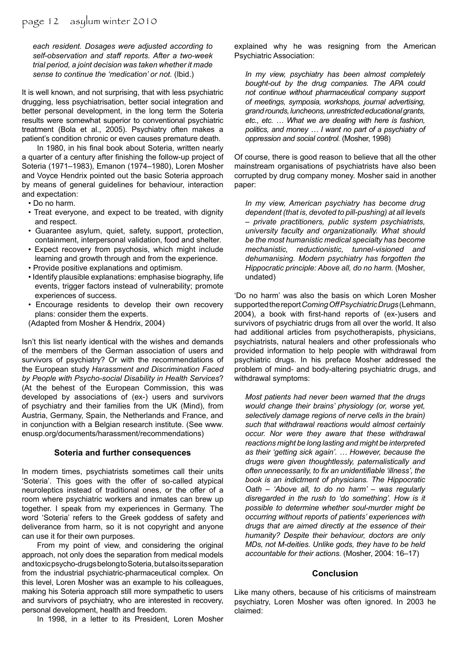*each resident. Dosages were adjusted according to self-observation and staff reports. After a two-week trial period, a joint decision was taken whether it made sense to continue the 'medication' or not.* (Ibid.)

It is well known, and not surprising, that with less psychiatric drugging, less psychiatrisation, better social integration and better personal development, in the long term the Soteria results were somewhat superior to conventional psychiatric treatment (Bola et al., 2005). Psychiatry often makes a patient's condition chronic or even causes premature death.

In 1980, in his final book about Soteria, written nearly a quarter of a century after finishing the follow-up project of Soteria (1971–1983), Emanon (1974–1980), Loren Mosher and Voyce Hendrix pointed out the basic Soteria approach by means of general guidelines for behaviour, interaction and expectation:

- Do no harm.
- Treat everyone, and expect to be treated, with dignity and respect.
- Guarantee asylum, quiet, safety, support, protection, containment, interpersonal validation, food and shelter.
- Expect recovery from psychosis, which might include learning and growth through and from the experience.
- Provide positive explanations and optimism.
- Identify plausible explanations: emphasise biography, life events, trigger factors instead of vulnerability; promote experiences of success.
- Encourage residents to develop their own recovery plans: consider them the experts.

(Adapted from Mosher & Hendrix, 2004)

Isn't this list nearly identical with the wishes and demands of the members of the German association of users and survivors of psychiatry? Or with the recommendations of the European study *Harassment and Discrimination Faced by People with Psycho-social Disability in Health Services*? (At the behest of the European Commission, this was developed by associations of (ex-) users and survivors of psychiatry and their families from the UK (Mind), from Austria, Germany, Spain, the Netherlands and France, and in conjunction with a Belgian research institute. (See www. enusp.org/documents/harassment/recommendations)

#### **Soteria and further consequences**

In modern times, psychiatrists sometimes call their units 'Soteria'. This goes with the offer of so-called atypical neuroleptics instead of traditional ones, or the offer of a room where psychiatric workers and inmates can brew up together. I speak from my experiences in Germany. The word 'Soteria' refers to the Greek goddess of safety and deliverance from harm, so it is not copyright and anyone can use it for their own purposes.

From my point of view, and considering the original approach, not only does the separation from medical models and toxic psycho-drugs belong to Soteria, but also its separation from the industrial psychiatric-pharmaceutical complex. On this level, Loren Mosher was an example to his colleagues, making his Soteria approach still more sympathetic to users and survivors of psychiatry, who are interested in recovery, personal development, health and freedom.

In 1998, in a letter to its President, Loren Mosher

explained why he was resigning from the American Psychiatric Association:

*In my view, psychiatry has been almost completely bought-out by the drug companies. The APA could not continue without pharmaceutical company support of meetings, symposia, workshops, journal advertising, grand rounds, luncheons, unrestricted educational grants, etc., etc. … What we are dealing with here is fashion, politics, and money … I want no part of a psychiatry of oppression and social control.* (Mosher, 1998)

Of course, there is good reason to believe that all the other mainstream organisations of psychiatrists have also been corrupted by drug company money. Mosher said in another paper:

*In my view, American psychiatry has become drug dependent (that is, devoted to pill-pushing) at all levels – private practitioners, public system psychiatrists, university faculty and organizationally. What should be the most humanistic medical specialty has become mechanistic, reductionistic, tunnel-visioned and dehumanising. Modern psychiatry has forgotten the Hippocratic principle: Above all, do no harm.* (Mosher, undated)

'Do no harm' was also the basis on which Loren Mosher supported the report *Coming Off Psychiatric Drugs* (Lehmann, 2004), a book with first-hand reports of (ex-)users and survivors of psychiatric drugs from all over the world. It also had additional articles from psychotherapists, physicians, psychiatrists, natural healers and other professionals who provided information to help people with withdrawal from psychiatric drugs. In his preface Mosher addressed the problem of mind- and body-altering psychiatric drugs, and withdrawal symptoms:

*Most patients had never been warned that the drugs would change their brains' physiology (or, worse yet, selectively damage regions of nerve cells in the brain) such that withdrawal reactions would almost certainly occur. Nor were they aware that these withdrawal reactions might be long lasting and might be interpreted as their 'getting sick again'. … However, because the drugs were given thoughtlessly, paternalistically and often unnecessarily, to fix an unidentifiable 'illness', the book is an indictment of physicians. The Hippocratic Oath – 'Above all, to do no harm' – was regularly disregarded in the rush to 'do something'. How is it possible to determine whether soul-murder might be occurring without reports of patients' experiences with drugs that are aimed directly at the essence of their humanity? Despite their behaviour, doctors are only MDs, not M-deities. Unlike gods, they have to be held accountable for their actions.* (Mosher, 2004: 16–17)

#### **Conclusion**

Like many others, because of his criticisms of mainstream psychiatry, Loren Mosher was often ignored. In 2003 he claimed: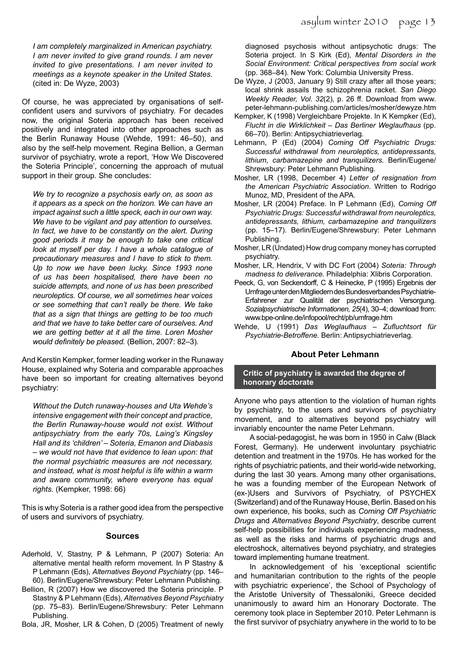*I am completely marginalized in American psychiatry. I am never invited to give grand rounds. I am never invited to give presentations. I am never invited to meetings as a keynote speaker in the United States.*  (cited in: De Wyze, 2003)

Of course, he was appreciated by organisations of selfconfident users and survivors of psychiatry. For decades now, the original Soteria approach has been received positively and integrated into other approaches such as the Berlin Runaway House (Wehde, 1991: 46–50), and also by the self-help movement. Regina Bellion, a German survivor of psychiatry, wrote a report, 'How We Discovered the Soteria Principle', concerning the approach of mutual support in their group. She concludes:

*We try to recognize a psychosis early on, as soon as it appears as a speck on the horizon. We can have an impact against such a little speck, each in our own way. We have to be vigilant and pay attention to ourselves. In fact, we have to be constantly on the alert. During good periods it may be enough to take one critical look at myself per day. I have a whole catalogue of precautionary measures and I have to stick to them. Up to now we have been lucky. Since 1993 none of us has been hospitalised, there have been no suicide attempts, and none of us has been prescribed neuroleptics. Of course, we all sometimes hear voices or see something that can't really be there. We take that as a sign that things are getting to be too much and that we have to take better care of ourselves. And we are getting better at it all the time. Loren Mosher would definitely be pleased.* (Bellion, 2007: 82–3)*.*

And Kerstin Kempker, former leading worker in the Runaway House, explained why Soteria and comparable approaches have been so important for creating alternatives beyond psychiatry:

*Without the Dutch runaway-houses and Uta Wehde's intensive engagement with their concept and practice, the Berlin Runaway-house would not exist. Without antipsychiatry from the early 70s, Laing's Kingsley Hall and its 'children' – Soteria, Emanon and Diabasis – we would not have that evidence to lean upon: that the normal psychiatric measures are not necessary, and instead, what is most helpful is life within a warm and aware community, where everyone has equal rights.* (Kempker, 1998: 66)

This is why Soteria is a rather good idea from the perspective of users and survivors of psychiatry.

#### **Sources**

- Aderhold, V, Stastny, P & Lehmann, P (2007) Soteria: An alternative mental health reform movement. In P Stastny & P Lehmann (Eds), *Alternatives Beyond Psychiatry* (pp. 146– 60). Berlin/Eugene/Shrewsbury: Peter Lehmann Publishing.
- Bellion, R (2007) How we discovered the Soteria principle. P Stastny & P Lehmann (Eds), *Alternatives Beyond Psychiatry* (pp. 75–83). Berlin/Eugene/Shrewsbury: Peter Lehmann Publishing.

Bola, JR, Mosher, LR & Cohen, D (2005) Treatment of newly

diagnosed psychosis without antipsychotic drugs: The Soteria project. In S Kirk (Ed), *Mental Disorders in the Social Environment: Critical perspectives from social work*  (pp. 368–84). New York: Columbia University Press.

- De Wyze, J (2003, January 9) Still crazy after all those years; local shrink assails the schizophrenia racket. *San Diego Weekly Reader, Vol. 32*(2), p. 26 ff. Download from www. peter-lehmann-publishing.com/articles/mosher/dewyze.htm
- Kempker, K (1998) Vergleichbare Projekte. In K Kempker (Ed), *Flucht in die Wirklichkeit – Das Berliner Weglaufhaus* (pp. 66–70). Berlin: Antipsychiatrieverlag.
- Lehmann, P (Ed) (2004) *Coming Off Psychiatric Drugs: Successful withdrawal from neuroleptics, antidepressants, lithium, carbamazepine and tranquilizers.* Berlin/Eugene/ Shrewsbury: Peter Lehmann Publishing.
- Mosher, LR (1998, December 4) *Letter of resignation from the American Psychiatric Association*. Written to Rodrigo Munoz, MD, President of the APA.
- Mosher, LR (2004) Preface. In P Lehmann (Ed), *Coming Off Psychiatric Drugs: Successful withdrawal from neuroleptics, antidepressants, lithium, carbamazepine and tranquilizers*  (pp. 15–17). Berlin/Eugene/Shrewsbury: Peter Lehmann Publishing.
- Mosher, LR (Undated) How drug company money has corrupted psychiatry.
- Mosher, LR, Hendrix, V with DC Fort (2004) *Soteria: Through madness to deliverance.* Philadelphia: Xlibris Corporation.
- Peeck, G, von Seckendorff, C & Heinecke, P (1995) Ergebnis der Umfrage unter den Mitgliedern des Bundesverbandes Psychiatrie-Erfahrener zur Qualität der psychiatrischen Versorgung. *Sozialpsychiatrische Informationen, 25*(4), 30–4; download from: www.bpe-online.de/infopool/recht/pb/umfrage.htm
- Wehde, U (1991) *Das Weglaufhaus Zufluchtsort für Psychiatrie-Betroffene.* Berlin: Antipsychiatrieverlag.

#### **About Peter Lehmann**

**Critic of psychiatry is awarded the degree of honorary doctorate** 

Anyone who pays attention to the violation of human rights by psychiatry, to the users and survivors of psychiatry movement, and to alternatives beyond psychiatry will invariably encounter the name Peter Lehmann.

A social-pedagogist, he was born in 1950 in Calw (Black Forest, Germany). He underwent involuntary psychiatric detention and treatment in the 1970s. He has worked for the rights of psychiatric patients, and their world-wide networking, during the last 30 years. Among many other organisations, he was a founding member of the European Network of (ex-)Users and Survivors of Psychiatry, of PSYCHEX (Switzerland) and of the Runaway House, Berlin. Based on his own experience, his books, such as *Coming Off Psychiatric Drugs* and *Alternatives Beyond Psychiatry*, describe current self-help possibilities for individuals experiencing madness, as well as the risks and harms of psychiatric drugs and electroshock, alternatives beyond psychiatry, and strategies toward implementing humane treatment.

In acknowledgement of his 'exceptional scientific and humanitarian contribution to the rights of the people with psychiatric experience', the School of Psychology of the Aristotle University of Thessaloniki, Greece decided unanimously to award him an Honorary Doctorate. The ceremony took place in September 2010. Peter Lehmann is the first survivor of psychiatry anywhere in the world to to be